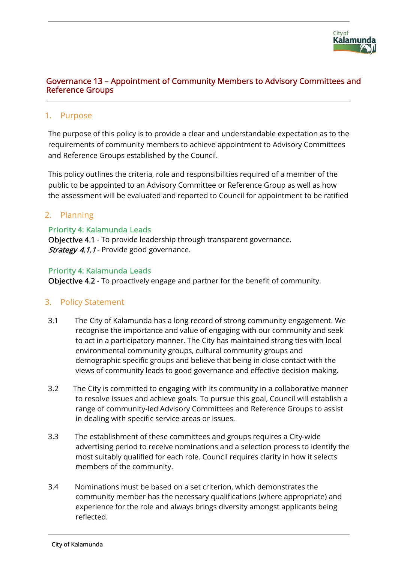

### Governance 13 – Appointment of Community Members to Advisory Committees and Reference Groups

#### 1. Purpose

The purpose of this policy is to provide a clear and understandable expectation as to the requirements of community members to achieve appointment to Advisory Committees and Reference Groups established by the Council.

This policy outlines the criteria, role and responsibilities required of a member of the public to be appointed to an Advisory Committee or Reference Group as well as how the assessment will be evaluated and reported to Council for appointment to be ratified

#### 2. Planning

#### Priority 4: Kalamunda Leads

Objective 4.1 - To provide leadership through transparent governance. **Strategy 4.1.1** - Provide good governance.

#### Priority 4: Kalamunda Leads

Objective 4.2 - To proactively engage and partner for the benefit of community.

### 3. Policy Statement

- 3.1 The City of Kalamunda has a long record of strong community engagement. We recognise the importance and value of engaging with our community and seek to act in a participatory manner. The City has maintained strong ties with local environmental community groups, cultural community groups and demographic specific groups and believe that being in close contact with the views of community leads to good governance and effective decision making.
- 3.2 The City is committed to engaging with its community in a collaborative manner to resolve issues and achieve goals. To pursue this goal, Council will establish a range of community-led Advisory Committees and Reference Groups to assist in dealing with specific service areas or issues.
- 3.3 The establishment of these committees and groups requires a City-wide advertising period to receive nominations and a selection process to identify the most suitably qualified for each role. Council requires clarity in how it selects members of the community.
- 3.4 Nominations must be based on a set criterion, which demonstrates the community member has the necessary qualifications (where appropriate) and experience for the role and always brings diversity amongst applicants being reflected.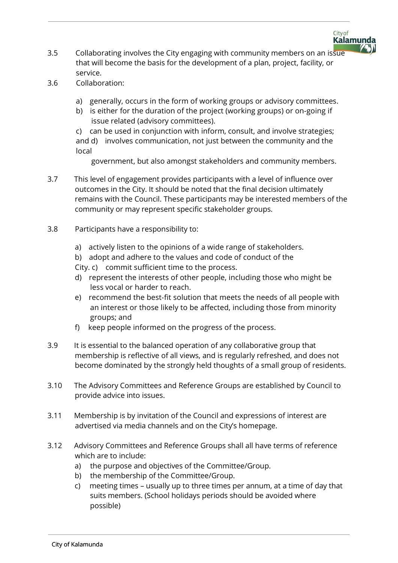

- 3.5 Collaborating involves the City engaging with community members on an issue that will become the basis for the development of a plan, project, facility, or service.
- 3.6 Collaboration:
	- a) generally, occurs in the form of working groups or advisory committees.
	- b) is either for the duration of the project (working groups) or on-going if issue related (advisory committees).

c) can be used in conjunction with inform, consult, and involve strategies; and d) involves communication, not just between the community and the local

government, but also amongst stakeholders and community members.

- 3.7 This level of engagement provides participants with a level of influence over outcomes in the City. It should be noted that the final decision ultimately remains with the Council. These participants may be interested members of the community or may represent specific stakeholder groups.
- 3.8 Participants have a responsibility to:
	- a) actively listen to the opinions of a wide range of stakeholders.
	- b) adopt and adhere to the values and code of conduct of the
	- City. c) commit sufficient time to the process.
	- d) represent the interests of other people, including those who might be less vocal or harder to reach.
	- e) recommend the best-fit solution that meets the needs of all people with an interest or those likely to be affected, including those from minority groups; and
	- f) keep people informed on the progress of the process.
- 3.9 It is essential to the balanced operation of any collaborative group that membership is reflective of all views, and is regularly refreshed, and does not become dominated by the strongly held thoughts of a small group of residents.
- 3.10 The Advisory Committees and Reference Groups are established by Council to provide advice into issues.
- 3.11 Membership is by invitation of the Council and expressions of interest are advertised via media channels and on the City's homepage.
- 3.12 Advisory Committees and Reference Groups shall all have terms of reference which are to include:
	- a) the purpose and objectives of the Committee/Group.
	- b) the membership of the Committee/Group.
	- c) meeting times usually up to three times per annum, at a time of day that suits members. (School holidays periods should be avoided where possible)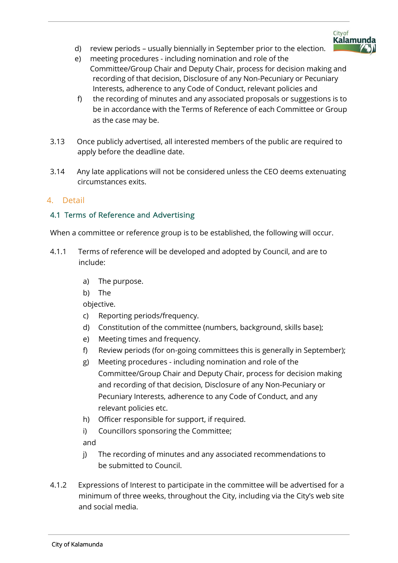d) review periods – usually biennially in September prior to the election.



City of

**Kalamunda** 

- f) the recording of minutes and any associated proposals or suggestions is to be in accordance with the Terms of Reference of each Committee or Group as the case may be.
- 3.13 Once publicly advertised, all interested members of the public are required to apply before the deadline date.
- 3.14 Any late applications will not be considered unless the CEO deems extenuating circumstances exits.

# 4. Detail

# 4.1 Terms of Reference and Advertising

When a committee or reference group is to be established, the following will occur.

- 4.1.1 Terms of reference will be developed and adopted by Council, and are to include:
	- a) The purpose.
	- b) The

objective.

- c) Reporting periods/frequency.
- d) Constitution of the committee (numbers, background, skills base);
- e) Meeting times and frequency.
- f) Review periods (for on-going committees this is generally in September);
- g) Meeting procedures including nomination and role of the Committee/Group Chair and Deputy Chair, process for decision making and recording of that decision, Disclosure of any Non-Pecuniary or Pecuniary Interests, adherence to any Code of Conduct, and any relevant policies etc.
- h) Officer responsible for support, if required.
- i) Councillors sponsoring the Committee;

and

- j) The recording of minutes and any associated recommendations to be submitted to Council.
- 4.1.2 Expressions of Interest to participate in the committee will be advertised for a minimum of three weeks, throughout the City, including via the City's web site and social media.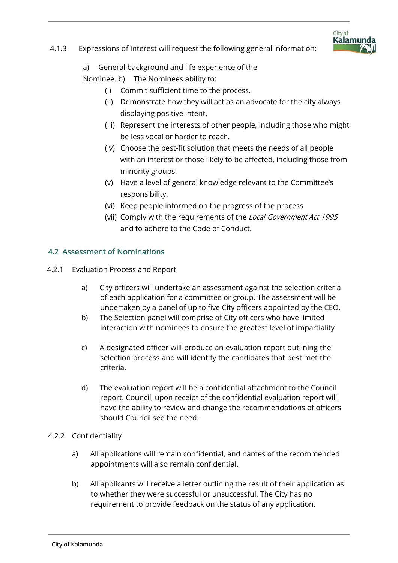

### 4.1.3 Expressions of Interest will request the following general information:

a) General background and life experience of the

Nominee. b) The Nominees ability to:

- (i) Commit sufficient time to the process.
- (ii) Demonstrate how they will act as an advocate for the city always displaying positive intent.
- (iii) Represent the interests of other people, including those who might be less vocal or harder to reach.
- (iv) Choose the best-fit solution that meets the needs of all people with an interest or those likely to be affected, including those from minority groups.
- (v) Have a level of general knowledge relevant to the Committee's responsibility.
- (vi) Keep people informed on the progress of the process
- (vii) Comply with the requirements of the Local Government Act 1995 and to adhere to the Code of Conduct.

# 4.2 Assessment of Nominations

- 4.2.1 Evaluation Process and Report
	- a) City officers will undertake an assessment against the selection criteria of each application for a committee or group. The assessment will be undertaken by a panel of up to five City officers appointed by the CEO.
	- b) The Selection panel will comprise of City officers who have limited interaction with nominees to ensure the greatest level of impartiality
	- c) A designated officer will produce an evaluation report outlining the selection process and will identify the candidates that best met the criteria.
	- d) The evaluation report will be a confidential attachment to the Council report. Council, upon receipt of the confidential evaluation report will have the ability to review and change the recommendations of officers should Council see the need.
- 4.2.2 Confidentiality
	- a) All applications will remain confidential, and names of the recommended appointments will also remain confidential.
	- b) All applicants will receive a letter outlining the result of their application as to whether they were successful or unsuccessful. The City has no requirement to provide feedback on the status of any application.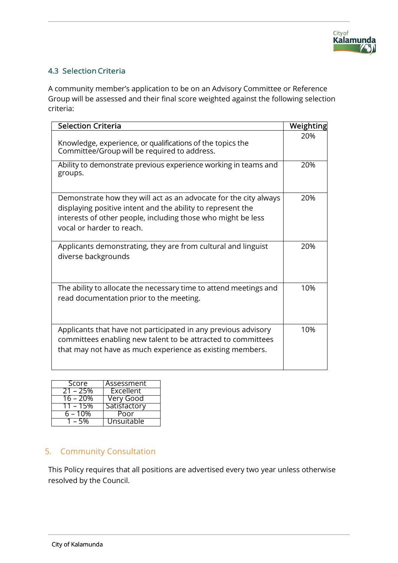# 4.3 Selection Criteria

A community member's application to be on an Advisory Committee or Reference Group will be assessed and their final score weighted against the following selection criteria:

| <b>Selection Criteria</b>                                                                                                                                                                                                    | Weighting |
|------------------------------------------------------------------------------------------------------------------------------------------------------------------------------------------------------------------------------|-----------|
| Knowledge, experience, or qualifications of the topics the<br>Committee/Group will be required to address.                                                                                                                   | 20%       |
| Ability to demonstrate previous experience working in teams and<br>groups.                                                                                                                                                   | 20%       |
| Demonstrate how they will act as an advocate for the city always<br>displaying positive intent and the ability to represent the<br>interests of other people, including those who might be less<br>vocal or harder to reach. | 20%       |
| Applicants demonstrating, they are from cultural and linguist<br>diverse backgrounds                                                                                                                                         | 20%       |
| The ability to allocate the necessary time to attend meetings and<br>read documentation prior to the meeting.                                                                                                                | 10%       |
| Applicants that have not participated in any previous advisory<br>committees enabling new talent to be attracted to committees<br>that may not have as much experience as existing members.                                  | 10%       |

| Score            | Assessment        |
|------------------|-------------------|
| $21 - 25%$       | Excellent         |
| $16 - 20%$       | Very Good         |
| <u> 11 – 15%</u> | Satisfactory      |
| 6 – 10%          | Poor              |
| $1 - 5\%$        | <b>Unsuitable</b> |

# 5. Community Consultation

This Policy requires that all positions are advertised every two year unless otherwise resolved by the Council.